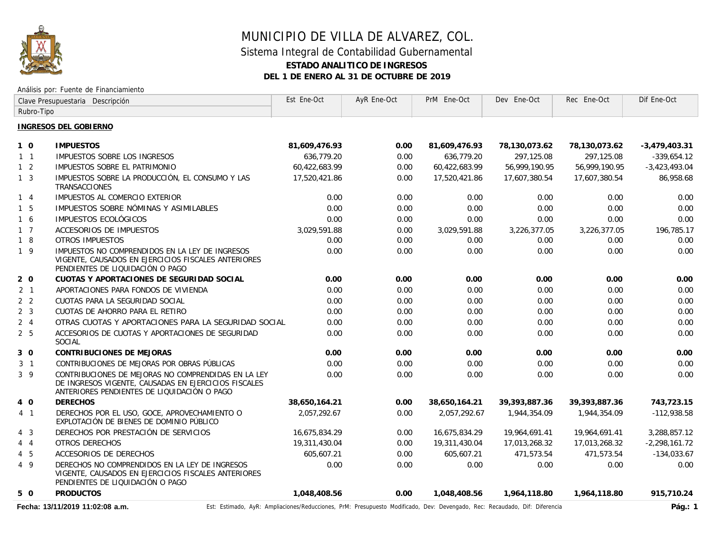

# MUNICIPIO DE VILLA DE ALVAREZ, COL. Sistema Integral de Contabilidad Gubernamental **ESTADO ANALITICO DE INGRESOS DEL 1 DE ENERO AL 31 DE OCTUBRE DE 2019**

#### Análisis por: Fuente de Financiamiento

| Clave Presupuestaria Descripción |                                                                                                                                                            | Est Ene-Oct   | AyR Ene-Oct | PrM Ene-Oct   | Dev Ene-Oct      | Rec Ene-Oct      | Dif Ene-Oct     |
|----------------------------------|------------------------------------------------------------------------------------------------------------------------------------------------------------|---------------|-------------|---------------|------------------|------------------|-----------------|
| Rubro-Tipo                       |                                                                                                                                                            |               |             |               |                  |                  |                 |
|                                  | <b>INGRESOS DEL GOBIERNO</b>                                                                                                                               |               |             |               |                  |                  |                 |
| $1\quad$ $0$                     | <b>IMPUESTOS</b>                                                                                                                                           | 81,609,476.93 | 0.00        | 81,609,476.93 | 78,130,073.62    | 78,130,073.62    | $-3,479,403.31$ |
| $1\quad1$                        | IMPUESTOS SOBRE LOS INGRESOS                                                                                                                               | 636.779.20    | 0.00        | 636.779.20    | 297.125.08       | 297,125.08       | $-339,654.12$   |
| $1\quad 2$                       | IMPUESTOS SOBRE EL PATRIMONIO                                                                                                                              | 60,422,683.99 | 0.00        | 60,422,683.99 | 56,999,190.95    | 56,999,190.95    | $-3,423,493.04$ |
| 1 <sub>3</sub>                   | IMPUESTOS SOBRE LA PRODUCCIÓN, EL CONSUMO Y LAS<br><b>TRANSACCIONES</b>                                                                                    | 17,520,421.86 | 0.00        | 17,520,421.86 | 17,607,380.54    | 17,607,380.54    | 86,958.68       |
| $1 \quad 4$                      | IMPUESTOS AL COMERCIO EXTERIOR                                                                                                                             | 0.00          | 0.00        | 0.00          | 0.00             | 0.00             | 0.00            |
| $1\quad5$                        | IMPUESTOS SOBRE NÓMINAS Y ASIMILABLES                                                                                                                      | 0.00          | 0.00        | 0.00          | 0.00             | 0.00             | 0.00            |
| 16                               | IMPUESTOS ECOLÓGICOS                                                                                                                                       | 0.00          | 0.00        | 0.00          | 0.00             | 0.00             | 0.00            |
| $1\quad 7$                       | <b>ACCESORIOS DE IMPUESTOS</b>                                                                                                                             | 3,029,591.88  | 0.00        | 3,029,591.88  | 3,226,377.05     | 3,226,377.05     | 196,785.17      |
| 18                               | <b>OTROS IMPUESTOS</b>                                                                                                                                     | 0.00          | 0.00        | 0.00          | 0.00             | 0.00             | 0.00            |
| $1 \overline{9}$                 | IMPUESTOS NO COMPRENDIDOS EN LA LEY DE INGRESOS<br>VIGENTE, CAUSADOS EN EJERCICIOS FISCALES ANTERIORES<br>PENDIENTES DE LIQUIDACIÓN O PAGO                 | 0.00          | 0.00        | 0.00          | 0.00             | 0.00             | 0.00            |
| $2\quad0$                        | CUOTAS Y APORTACIONES DE SEGURIDAD SOCIAL                                                                                                                  | 0.00          | 0.00        | 0.00          | 0.00             | 0.00             | 0.00            |
| 2 <sub>1</sub>                   | APORTACIONES PARA FONDOS DE VIVIENDA                                                                                                                       | 0.00          | 0.00        | 0.00          | 0.00             | 0.00             | 0.00            |
| 2 <sub>2</sub>                   | CUOTAS PARA LA SEGURIDAD SOCIAL                                                                                                                            | 0.00          | 0.00        | 0.00          | 0.00             | 0.00             | 0.00            |
| 2 <sub>3</sub>                   | CUOTAS DE AHORRO PARA EL RETIRO                                                                                                                            | 0.00          | 0.00        | 0.00          | 0.00             | 0.00             | 0.00            |
| $2 \quad 4$                      | OTRAS CUOTAS Y APORTACIONES PARA LA SEGURIDAD SOCIAL                                                                                                       | 0.00          | 0.00        | 0.00          | 0.00             | 0.00             | 0.00            |
| 2 <sub>5</sub>                   | ACCESORIOS DE CUOTAS Y APORTACIONES DE SEGURIDAD<br><b>SOCIAL</b>                                                                                          | 0.00          | 0.00        | 0.00          | 0.00             | 0.00             | 0.00            |
| 30                               | CONTRIBUCIONES DE MEJORAS                                                                                                                                  | 0.00          | 0.00        | 0.00          | 0.00             | 0.00             | 0.00            |
| 3 <sub>1</sub>                   | CONTRIBUCIONES DE MEJORAS POR OBRAS PÚBLICAS                                                                                                               | 0.00          | 0.00        | 0.00          | 0.00             | 0.00             | 0.00            |
| $3 \overline{9}$                 | CONTRIBUCIONES DE MEJORAS NO COMPRENDIDAS EN LA LEY<br>DE INGRESOS VIGENTE, CAUSADAS EN EJERCICIOS FISCALES<br>ANTERIORES PENDIENTES DE LIQUIDACIÓN O PAGO | 0.00          | 0.00        | 0.00          | 0.00             | 0.00             | 0.00            |
| 4 0                              | <b>DERECHOS</b>                                                                                                                                            | 38,650,164.21 | 0.00        | 38,650,164.21 | 39, 393, 887. 36 | 39, 393, 887. 36 | 743,723.15      |
| 4 <sub>1</sub>                   | DERECHOS POR EL USO, GOCE, APROVECHAMIENTO O<br>EXPLOTACIÓN DE BIENES DE DOMINIO PÚBLICO                                                                   | 2,057,292.67  | 0.00        | 2,057,292.67  | 1,944,354.09     | 1,944,354.09     | $-112,938.58$   |
| $4 \quad 3$                      | DERECHOS POR PRESTACIÓN DE SERVICIOS                                                                                                                       | 16,675,834.29 | 0.00        | 16,675,834.29 | 19,964,691.41    | 19,964,691.41    | 3,288,857.12    |
| $4\quad 4$                       | OTROS DERECHOS                                                                                                                                             | 19,311,430.04 | 0.00        | 19,311,430.04 | 17,013,268.32    | 17,013,268.32    | $-2,298,161.72$ |
| $4\quad5$                        | ACCESORIOS DE DERECHOS                                                                                                                                     | 605,607.21    | 0.00        | 605.607.21    | 471,573.54       | 471,573.54       | $-134,033.67$   |
| 4 9                              | DERECHOS NO COMPRENDIDOS EN LA LEY DE INGRESOS<br>VIGENTE, CAUSADOS EN EJERCICIOS FISCALES ANTERIORES<br>PENDIENTES DE LIQUIDACIÓN O PAGO                  | 0.00          | 0.00        | 0.00          | 0.00             | 0.00             | 0.00            |
| 5 0                              | <b>PRODUCTOS</b>                                                                                                                                           | 1,048,408.56  | 0.00        | 1,048,408.56  | 1,964,118.80     | 1,964,118.80     | 915,710.24      |
|                                  |                                                                                                                                                            |               |             |               |                  |                  |                 |

Fecha: 13/11/2019 11:02:08 a.m. **Est: Estimado, AyR: Ampliaciones/Reducciones**, PrM: Presupuesto Modificado, Dev: Devengado, Rec: Recaudado, Dif: Diferencia **Pág.: 1** Pág.: 1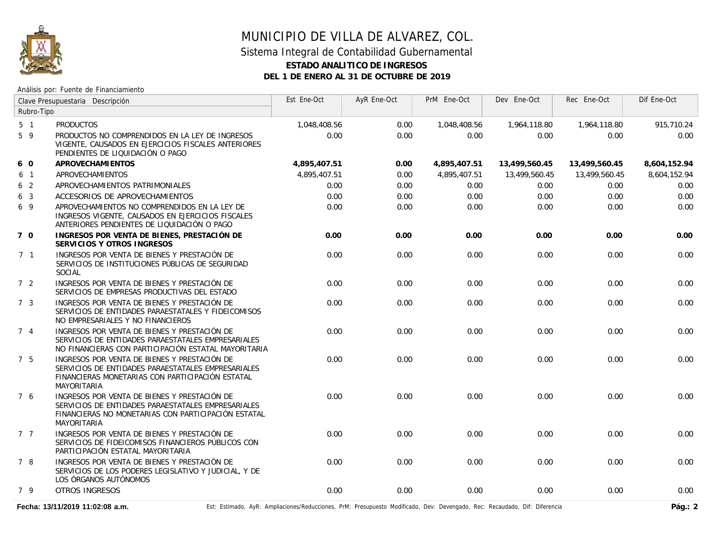

# MUNICIPIO DE VILLA DE ALVAREZ, COL. Sistema Integral de Contabilidad Gubernamental **ESTADO ANALITICO DE INGRESOS DEL 1 DE ENERO AL 31 DE OCTUBRE DE 2019**

#### Análisis por: Fuente de Financiamiento

| Clave Presupuestaria Descripción |                                                                                                                                                                                 | Est Ene-Oct  | AyR Ene-Oct | PrM Ene-Oct  | Dev Ene-Oct   | Rec Ene-Oct   | Dif Ene-Oct  |
|----------------------------------|---------------------------------------------------------------------------------------------------------------------------------------------------------------------------------|--------------|-------------|--------------|---------------|---------------|--------------|
| Rubro-Tipo                       |                                                                                                                                                                                 |              |             |              |               |               |              |
| 5 <sub>1</sub>                   | <b>PRODUCTOS</b>                                                                                                                                                                | 1,048,408.56 | 0.00        | 1,048,408.56 | 1,964,118.80  | 1,964,118.80  | 915,710.24   |
| 5 9                              | PRODUCTOS NO COMPRENDIDOS EN LA LEY DE INGRESOS<br>VIGENTE, CAUSADOS EN EJERCICIOS FISCALES ANTERIORES<br>PENDIENTES DE LIQUIDACIÓN O PAGO                                      | 0.00         | 0.00        | 0.00         | 0.00          | 0.00          | 0.00         |
| 6 0                              | APROVECHAMI ENTOS                                                                                                                                                               | 4,895,407.51 | 0.00        | 4,895,407.51 | 13,499,560.45 | 13,499,560.45 | 8,604,152.94 |
| 6 1                              | APROVECHAMIENTOS                                                                                                                                                                | 4.895.407.51 | 0.00        | 4,895,407.51 | 13,499,560.45 | 13,499,560.45 | 8,604,152.94 |
| 6 <sub>2</sub>                   | APROVECHAMIENTOS PATRIMONIALES                                                                                                                                                  | 0.00         | 0.00        | 0.00         | 0.00          | 0.00          | 0.00         |
| 6 <sub>3</sub>                   | ACCESORIOS DE APROVECHAMIENTOS                                                                                                                                                  | 0.00         | 0.00        | 0.00         | 0.00          | 0.00          | 0.00         |
| 6 9                              | APROVECHAMIENTOS NO COMPRENDIDOS EN LA LEY DE<br>INGRESOS VIGENTE, CAUSADOS EN EJERCICIOS FISCALES<br>ANTERIORES PENDIENTES DE LIQUIDACIÓN O PAGO                               | 0.00         | 0.00        | 0.00         | 0.00          | 0.00          | 0.00         |
| 7 0                              | INGRESOS POR VENTA DE BIENES, PRESTACIÓN DE<br>SERVICIOS Y OTROS INGRESOS                                                                                                       | 0.00         | 0.00        | 0.00         | 0.00          | 0.00          | 0.00         |
| 7 <sub>1</sub>                   | INGRESOS POR VENTA DE BIENES Y PRESTACIÓN DE<br>SERVICIOS DE INSTITUCIONES PÚBLICAS DE SEGURIDAD<br>SOCIAL                                                                      | 0.00         | 0.00        | 0.00         | 0.00          | 0.00          | 0.00         |
| 7 <sub>2</sub>                   | INGRESOS POR VENTA DE BIENES Y PRESTACIÓN DE<br>SERVICIOS DE EMPRESAS PRODUCTIVAS DEL ESTADO                                                                                    | 0.00         | 0.00        | 0.00         | 0.00          | 0.00          | 0.00         |
| 7 <sub>3</sub>                   | INGRESOS POR VENTA DE BIENES Y PRESTACIÓN DE<br>SERVICIOS DE ENTIDADES PARAESTATALES Y FIDEICOMISOS<br>NO EMPRESARIALES Y NO FINANCIEROS                                        | 0.00         | 0.00        | 0.00         | 0.00          | 0.00          | 0.00         |
| 74                               | INGRESOS POR VENTA DE BIENES Y PRESTACIÓN DE<br>SERVICIOS DE ENTIDADES PARAESTATALES EMPRESARIALES<br>NO FINANCIERAS CON PARTICIPACIÓN ESTATAL MAYORITARIA                      | 0.00         | 0.00        | 0.00         | 0.00          | 0.00          | 0.00         |
| 7 <sub>5</sub>                   | INGRESOS POR VENTA DE BIENES Y PRESTACIÓN DE<br>SERVICIOS DE ENTIDADES PARAESTATALES EMPRESARIALES<br>FINANCIERAS MONETARIAS CON PARTICIPACIÓN ESTATAL<br>MAYORITARIA           | 0.00         | 0.00        | 0.00         | 0.00          | 0.00          | 0.00         |
| 7 6                              | INGRESOS POR VENTA DE BIENES Y PRESTACIÓN DE<br>SERVICIOS DE ENTIDADES PARAESTATALES EMPRESARIALES<br>FINANCIERAS NO MONETARIAS CON PARTICIPACIÓN ESTATAL<br><b>MAYORITARIA</b> | 0.00         | 0.00        | 0.00         | 0.00          | 0.00          | 0.00         |
| 7 7                              | INGRESOS POR VENTA DE BIENES Y PRESTACIÓN DE<br>SERVICIOS DE FIDEICOMISOS FINANCIEROS PÚBLICOS CON<br>PARTICIPACIÓN ESTATAL MAYORITARIA                                         | 0.00         | 0.00        | 0.00         | 0.00          | 0.00          | 0.00         |
| 7 8                              | INGRESOS POR VENTA DE BIENES Y PRESTACIÓN DE<br>SERVICIOS DE LOS PODERES LEGISLATIVO Y JUDICIAL, Y DE<br>LOS ÓRGANOS AUTÓNOMOS                                                  | 0.00         | 0.00        | 0.00         | 0.00          | 0.00          | 0.00         |
| 79                               | <b>OTROS INGRESOS</b>                                                                                                                                                           | 0.00         | 0.00        | 0.00         | 0.00          | 0.00          | 0.00         |

Fecha: 13/11/2019 11:02:08 a.m. **Entimado, AyR: Ampliaciones/Reducciones**, PrM: Presupuesto Modificado, Dev: Devengado, Rec: Recaudado, Dif: Diferencia **Pág.: 2** Pág.: 2